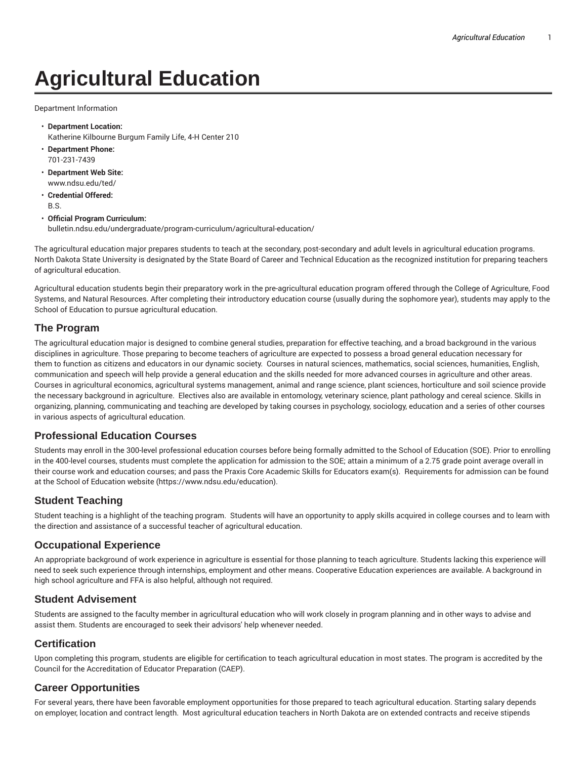# **Agricultural Education**

Department Information

- **Department Location:** Katherine Kilbourne Burgum Family Life, 4-H Center 210
- **Department Phone:** 701-231-7439
- **Department Web Site:** www.ndsu.edu/ted/
- **Credential Offered:** B.S.

#### • **Official Program Curriculum:**

bulletin.ndsu.edu/undergraduate/program-curriculum/agricultural-education/

The agricultural education major prepares students to teach at the secondary, post-secondary and adult levels in agricultural education programs. North Dakota State University is designated by the State Board of Career and Technical Education as the recognized institution for preparing teachers of agricultural education.

Agricultural education students begin their preparatory work in the pre-agricultural education program offered through the College of Agriculture, Food Systems, and Natural Resources. After completing their introductory education course (usually during the sophomore year), students may apply to the School of Education to pursue agricultural education.

### **The Program**

The agricultural education major is designed to combine general studies, preparation for effective teaching, and a broad background in the various disciplines in agriculture. Those preparing to become teachers of agriculture are expected to possess a broad general education necessary for them to function as citizens and educators in our dynamic society. Courses in natural sciences, mathematics, social sciences, humanities, English, communication and speech will help provide a general education and the skills needed for more advanced courses in agriculture and other areas. Courses in agricultural economics, agricultural systems management, animal and range science, plant sciences, horticulture and soil science provide the necessary background in agriculture. Electives also are available in entomology, veterinary science, plant pathology and cereal science. Skills in organizing, planning, communicating and teaching are developed by taking courses in psychology, sociology, education and a series of other courses in various aspects of agricultural education.

#### **Professional Education Courses**

Students may enroll in the 300-level professional education courses before being formally admitted to the School of Education (SOE). Prior to enrolling in the 400-level courses, students must complete the application for admission to the SOE; attain a minimum of a 2.75 grade point average overall in their course work and education courses; and pass the Praxis Core Academic Skills for Educators exam(s). Requirements for admission can be found at the School of Education website (https://www.ndsu.edu/education).

## **Student Teaching**

Student teaching is a highlight of the teaching program. Students will have an opportunity to apply skills acquired in college courses and to learn with the direction and assistance of a successful teacher of agricultural education.

#### **Occupational Experience**

An appropriate background of work experience in agriculture is essential for those planning to teach agriculture. Students lacking this experience will need to seek such experience through internships, employment and other means. Cooperative Education experiences are available. A background in high school agriculture and FFA is also helpful, although not required.

#### **Student Advisement**

Students are assigned to the faculty member in agricultural education who will work closely in program planning and in other ways to advise and assist them. Students are encouraged to seek their advisors' help whenever needed.

#### **Certification**

Upon completing this program, students are eligible for certification to teach agricultural education in most states. The program is accredited by the Council for the Accreditation of Educator Preparation (CAEP).

## **Career Opportunities**

For several years, there have been favorable employment opportunities for those prepared to teach agricultural education. Starting salary depends on employer, location and contract length. Most agricultural education teachers in North Dakota are on extended contracts and receive stipends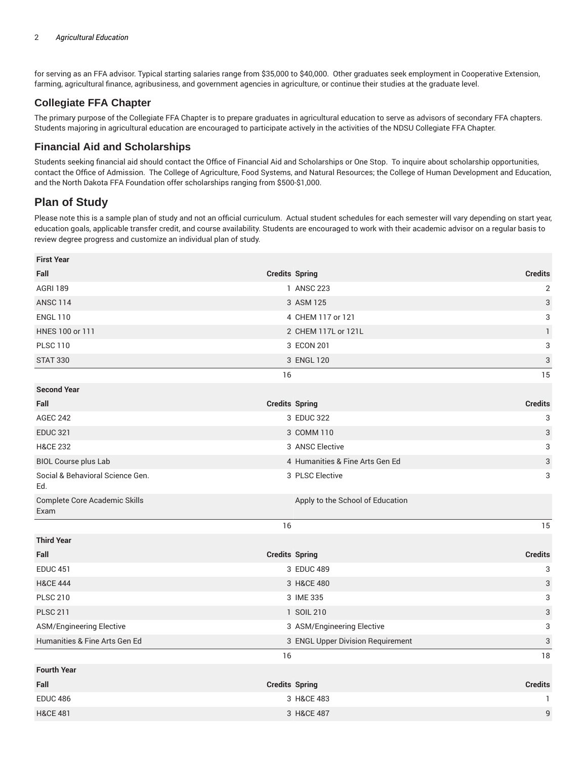for serving as an FFA advisor. Typical starting salaries range from \$35,000 to \$40,000. Other graduates seek employment in Cooperative Extension, farming, agricultural finance, agribusiness, and government agencies in agriculture, or continue their studies at the graduate level.

## **Collegiate FFA Chapter**

The primary purpose of the Collegiate FFA Chapter is to prepare graduates in agricultural education to serve as advisors of secondary FFA chapters. Students majoring in agricultural education are encouraged to participate actively in the activities of the NDSU Collegiate FFA Chapter.

## **Financial Aid and Scholarships**

Students seeking financial aid should contact the Office of Financial Aid and Scholarships or One Stop. To inquire about scholarship opportunities, contact the Office of Admission. The College of Agriculture, Food Systems, and Natural Resources; the College of Human Development and Education, and the North Dakota FFA Foundation offer scholarships ranging from \$500-\$1,000.

## **Plan of Study**

Please note this is a sample plan of study and not an official curriculum. Actual student schedules for each semester will vary depending on start year, education goals, applicable transfer credit, and course availability. Students are encouraged to work with their academic advisor on a regular basis to review degree progress and customize an individual plan of study.

| <b>First Year</b>                       |                                   |                           |
|-----------------------------------------|-----------------------------------|---------------------------|
| Fall                                    | <b>Credits Spring</b>             | <b>Credits</b>            |
| <b>AGRI 189</b>                         | 1 ANSC 223                        | $\overline{2}$            |
| <b>ANSC 114</b>                         | 3 ASM 125                         | $\ensuremath{\mathsf{3}}$ |
| <b>ENGL 110</b>                         | 4 CHEM 117 or 121                 | $\ensuremath{\mathsf{3}}$ |
| HNES 100 or 111                         | 2 CHEM 117L or 121L               | 1                         |
| <b>PLSC 110</b>                         | 3 ECON 201                        | $\ensuremath{\mathsf{3}}$ |
| <b>STAT 330</b>                         | 3 ENGL 120                        | $\ensuremath{\mathsf{3}}$ |
|                                         | 16                                | 15                        |
| <b>Second Year</b>                      |                                   |                           |
| Fall                                    | <b>Credits Spring</b>             | <b>Credits</b>            |
| <b>AGEC 242</b>                         | 3 EDUC 322                        | 3                         |
| <b>EDUC 321</b>                         | 3 COMM 110                        | $\ensuremath{\mathsf{3}}$ |
| <b>H&amp;CE 232</b>                     | 3 ANSC Elective                   | $\ensuremath{\mathsf{3}}$ |
| <b>BIOL Course plus Lab</b>             | 4 Humanities & Fine Arts Gen Ed   | $\ensuremath{\mathsf{3}}$ |
| Social & Behavioral Science Gen.<br>Ed. | 3 PLSC Elective                   | 3                         |
| Complete Core Academic Skills<br>Exam   | Apply to the School of Education  |                           |
|                                         | 16                                | 15                        |
| <b>Third Year</b>                       |                                   |                           |
| Fall                                    | <b>Credits Spring</b>             | <b>Credits</b>            |
| <b>EDUC 451</b>                         | 3 EDUC 489                        | 3                         |
| <b>H&amp;CE 444</b>                     | 3 H&CE 480                        | $\ensuremath{\mathsf{3}}$ |
| <b>PLSC 210</b>                         | 3 IME 335                         | 3                         |
| <b>PLSC 211</b>                         | 1 SOIL 210                        | $\ensuremath{\mathsf{3}}$ |
| <b>ASM/Engineering Elective</b>         | 3 ASM/Engineering Elective        | 3                         |
| Humanities & Fine Arts Gen Ed           | 3 ENGL Upper Division Requirement | $\ensuremath{\mathsf{3}}$ |
|                                         | 16                                | 18                        |
| <b>Fourth Year</b>                      |                                   |                           |
| Fall                                    | <b>Credits Spring</b>             | <b>Credits</b>            |
| <b>EDUC 486</b>                         | 3 H&CE 483                        | 1                         |
| <b>H&amp;CE 481</b>                     | 3 H&CE 487                        | $\overline{9}$            |